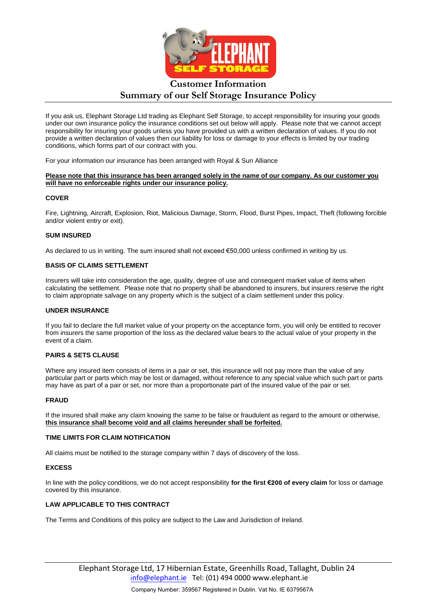

# **Customer Information Summary of our Self Storage Insurance Policy**

If you ask us, Elephant Storage Ltd trading as Elephant Self Storage, to accept responsibility for insuring your goods under our own insurance policy the insurance conditions set out below will apply. Please note that we cannot accept responsibility for insuring your goods unless you have provided us with a written declaration of values. If you do not provide a written declaration of values then our liability for loss or damage to your effects is limited by our trading conditions, which forms part of our contract with you.

For your information our insurance has been arranged with Royal & Sun Alliance

#### **Please note that this insurance has been arranged solely in the name of our company. As our customer you will have no enforceable rights under our insurance policy.**

## **COVER**

Fire, Lightning, Aircraft, Explosion, Riot, Malicious Damage, Storm, Flood, Burst Pipes, Impact, Theft (following forcible and/or violent entry or exit).

## **SUM INSURED**

As declared to us in writing. The sum insured shall not exceed €50,000 unless confirmed in writing by us.

#### **BASIS OF CLAIMS SETTLEMENT**

Insurers will take into consideration the age, quality, degree of use and consequent market value of items when calculating the settlement. Please note that no property shall be abandoned to insurers, but insurers reserve the right to claim appropriate salvage on any property which is the subject of a claim settlement under this policy.

#### **UNDER INSURANCE**

If you fail to declare the full market value of your property on the acceptance form, you will only be entitled to recover from insurers the same proportion of the loss as the declared value bears to the actual value of your property in the event of a claim.

#### **PAIRS & SETS CLAUSE**

Where any insured item consists of items in a pair or set, this insurance will not pay more than the value of any particular part or parts which may be lost or damaged, without reference to any special value which such part or parts may have as part of a pair or set, nor more than a proportionate part of the insured value of the pair or set.

#### **FRAUD**

If the insured shall make any claim knowing the same to be false or fraudulent as regard to the amount or otherwise, **this insurance shall become void and all claims hereunder shall be forfeited.**

#### **TIME LIMITS FOR CLAIM NOTIFICATION**

All claims must be notified to the storage company within 7 days of discovery of the loss.

#### **EXCESS**

In line with the policy conditions, we do not accept responsibility **for the first €**200 **of every claim** for loss or damage covered by this insurance.

#### **LAW APPLICABLE TO THIS CONTRACT**

The Terms and Conditions of this policy are subject to the Law and Jurisdiction of Ireland.